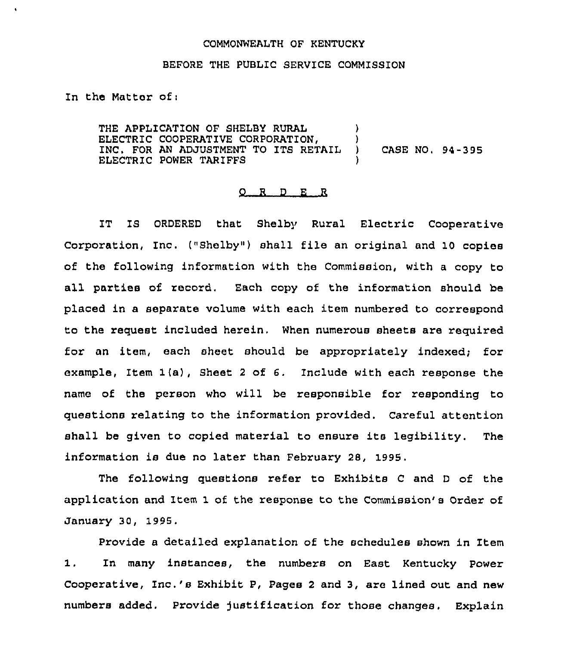## COMMONWEALTH OF KENTUCKY

## BEFORE THE PUBLIC SERVICE COMMISSION

ln the Matter of <sup>i</sup>

THE APPLICATION OF SHELBY RURAL  $\qquad$ ) ELECTRIC COOPERATIVE CORPORATION,  $\left\{\right.\right.}$  ) INC. FOR AN ADJUSTMENT TO ITS RETAIL ) INC, FOR AN ADJUSTMENT TO ITS RETAIL ) CASE NO, 94-395 ELECTRIC POWER TARIFFS )

## 0 <sup>R</sup> <sup>D</sup> E R

IT IS ORDERED that Shelby Rural Electric Cooperative Corporation, Inc. ("Shelby") shall file an original and 10 copies of the following information with the Commission, with a copy to all parties of record. Each copy of the information should be placed in a separate volume with each item numbered to correspond to the request included herein. When numerous sheets are required for an item, each sheet should be appropriately indexed; for example, Item 1(a), Sheet <sup>2</sup> of 6. Include with each response the name of the person who will be responsible for responding to questions relating to the information provided. Careful attention shall be given to copied material to ensure its legibility. The information is due no later than February 28, 1995.

The following questions refer to Exhibits <sup>C</sup> and <sup>D</sup> of the application and Item 1 of the response to the Commission's Order of January 30, 1995.

Provide a detailed explanation of the schedules shown in Item 1. In many instances, the numbers on East Kentucky Power Cooperative, 1nc.'s Exhibit P, Pages <sup>2</sup> and 3, are lined out and new numbers added. Provide justification for those changes. Explain